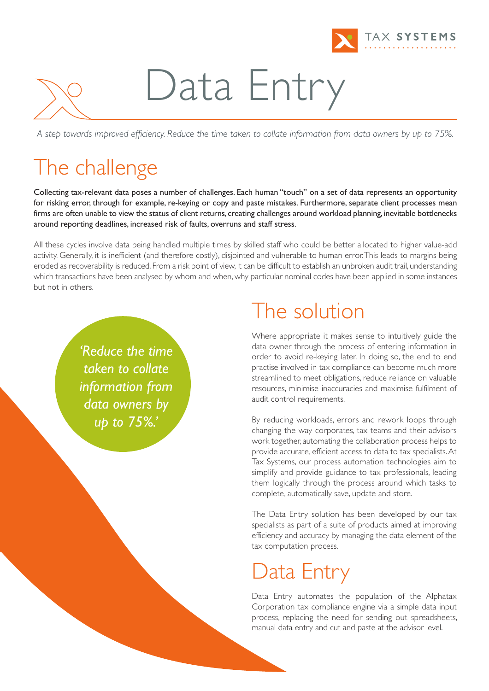

# Data Entry

A step towards improved efficiency. Reduce the time taken to collate information from data owners by up to 75%.

### The challenge

Collecting tax-relevant data poses a number of challenges. Each human "touch" on a set of data represents an opportunity for risking error, through for example, re-keying or copy and paste mistakes. Furthermore, separate client processes mean firms are often unable to view the status of client returns, creating challenges around workload planning, inevitable bottlenecks around reporting deadlines, increased risk of faults, overruns and staff stress.

All these cycles involve data being handled multiple times by skilled staff who could be better allocated to higher value-add activity. Generally, it is inefficient (and therefore costly), disjointed and vulnerable to human error.This leads to margins being eroded as recoverability is reduced. From a risk point of view, it can be difficult to establish an unbroken audit trail, understanding which transactions have been analysed by whom and when, why particular nominal codes have been applied in some instances but not in others.

> *'Reduce the time taken to collate information from data owners by up to 75%.'*

### The solution

Where appropriate it makes sense to intuitively guide the data owner through the process of entering information in order to avoid re-keying later. In doing so, the end to end practise involved in tax compliance can become much more streamlined to meet obligations, reduce reliance on valuable resources, minimise inaccuracies and maximise fulfilment of audit control requirements.

By reducing workloads, errors and rework loops through changing the way corporates, tax teams and their advisors work together, automating the collaboration process helps to provide accurate, efficient access to data to tax specialists.At Tax Systems, our process automation technologies aim to simplify and provide guidance to tax professionals, leading them logically through the process around which tasks to complete, automatically save, update and store.

The Data Entry solution has been developed by our tax specialists as part of a suite of products aimed at improving efficiency and accuracy by managing the data element of the tax computation process.

## Data Entry

Data Entry automates the population of the Alphatax Corporation tax compliance engine via a simple data input process, replacing the need for sending out spreadsheets, manual data entry and cut and paste at the advisor level.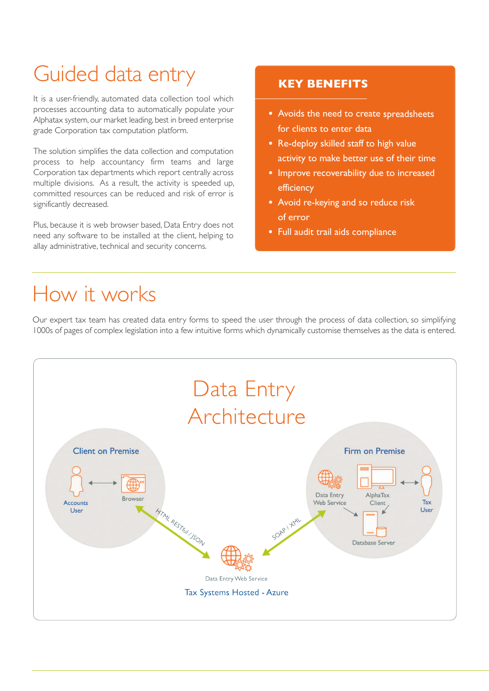## Guided data entry **KEY BENEFITS**

It is a user-friendly, automated data collection tool which processes accounting data to automatically populate your Alphatax system, our market leading, best in breed enterprise grade Corporation tax computation platform.

The solution simplifies the data collection and computation process to help accountancy firm teams and large Corporation tax departments which report centrally across multiple divisions. As a result, the activity is speeded up, committed resources can be reduced and risk of error is significantly decreased.

Plus, because it is web browser based, Data Entry does not need any software to be installed at the client, helping to allay administrative, technical and security concerns.

- **•** Avoids the need to create spreadsheets for clients to enter data
- **•** Re-deploy skilled staff to high value activity to make better use of their time
- **•** Improve recoverability due to increased efficiency
- **•** Avoid re-keying and so reduce risk of error
- **•** Full audit trail aids compliance

### How it works

Our expert tax team has created data entry forms to speed the user through the process of data collection, so simplifying 1000s of pages of complex legislation into a few intuitive forms which dynamically customise themselves as the data is entered.

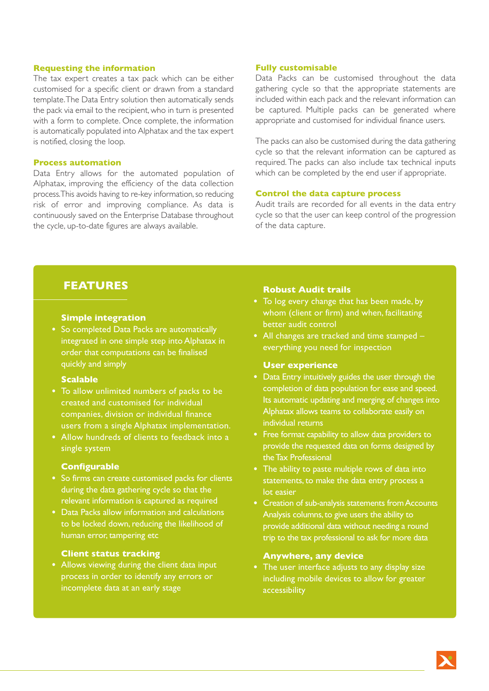#### **Requesting the information**

The tax expert creates a tax pack which can be either customised for a specific client or drawn from a standard template.The Data Entry solution then automatically sends the pack via email to the recipient, who in turn is presented with a form to complete. Once complete, the information is automatically populated into Alphatax and the tax expert is notified, closing the loop.

#### **Process automation**

Data Entry allows for the automated population of Alphatax, improving the efficiency of the data collection process.This avoids having to re-key information,so reducing risk of error and improving compliance. As data is continuously saved on the Enterprise Database throughout the cycle, up-to-date figures are always available.

#### **Fully customisable**

Data Packs can be customised throughout the data gathering cycle so that the appropriate statements are included within each pack and the relevant information can be captured. Multiple packs can be generated where appropriate and customised for individual finance users.

The packs can also be customised during the data gathering cycle so that the relevant information can be captured as required. The packs can also include tax technical inputs which can be completed by the end user if appropriate.

#### **Control the data capture process**

Audit trails are recorded for all events in the data entry cycle so that the user can keep control of the progression of the data capture.

#### **FEATURES**

#### **Simple integration**

**•** So completed Data Packs are automatically integrated in one simple step into Alphatax in order that computations can be finalised quickly and simply

#### **Scalable**

- **•** To allow unlimited numbers of packs to be created and customised for individual companies, division or individual finance users from a single Alphatax implementation.
- **•** Allow hundreds of clients to feedback into a single system

#### **Configurable**

- **•** So firms can create customised packs for clients during the data gathering cycle so that the relevant information is captured as required
- **•** Data Packs allow information and calculations to be locked down, reducing the likelihood of human error, tampering etc

#### **Client status tracking**

**•** Allows viewing during the client data input process in order to identify any errors or incomplete data at an early stage

#### **Robust Audit trails**

- **•** To log every change that has been made, by whom (client or firm) and when, facilitating better audit control
- **•** All changes are tracked and time stamped everything you need for inspection

#### **User experience**

- **•** Data Entry intuitively guides the user through the completion of data population for ease and speed. Its automatic updating and merging of changes into Alphatax allows teams to collaborate easily on individual returns
- **•** Free format capability to allow data providers to provide the requested data on forms designed by the Tax Professional
- **•** The ability to paste multiple rows of data into statements, to make the data entry process a lot easier
- **•** Creation of sub-analysis statements from Accounts Analysis columns,to give users the ability to provide additional data without needing a round trip to the tax professional to ask for more data

#### **Anywhere, any device**

**•** The user interface adjusts to any display size including mobile devices to allow for greater accessibility